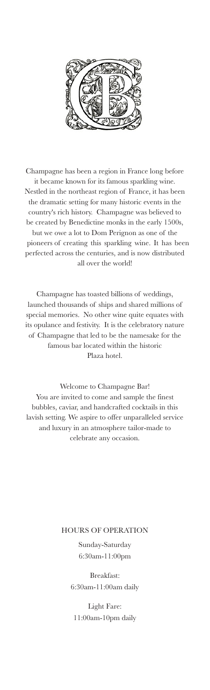

Champagne has been a region in France long before it became known for its famous sparkling wine. Nestled in the northeast region of France, it has been the dramatic setting for many historic events in the country's rich history. Champagne was believed to be created by Benedictine monks in the early 1500s, but we owe a lot to Dom Perignon as one of the pioneers of creating this sparkling wine. It has been perfected across the centuries, and is now distributed all over the world!

Champagne has toasted billions of weddings, launched thousands of ships and shared millions of special memories. No other wine quite equates with its opulance and festivity. It is the celebratory nature of Champagne that led to be the namesake for the famous bar located within the historic Plaza hotel.

Welcome to Champagne Bar! You are invited to come and sample the finest bubbles, caviar, and handcrafted cocktails in this lavish setting. We aspire to offer unparalleled service and luxury in an atmosphere tailor-made to celebrate any occasion.

#### HOURS OF OPERATION

Sunday-Saturday 6:30am-11:00pm

Breakfast: 6:30am-11:00am daily

Light Fare: 11:00am-10pm daily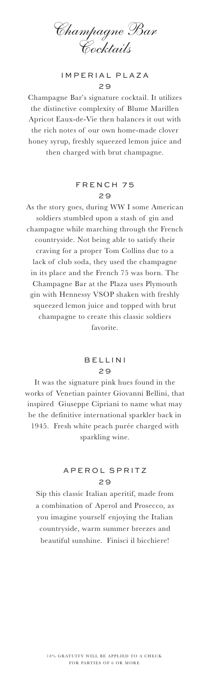Champagne Bar Cocktails

### IMPERIAL PLAZA  $29$

Champagne Bar's signature cocktail. It utilizes the distinctive complexity of Blume Marillen Apricot Eaux-de-Vie then balances it out with the rich notes of our own home-made clover honey syrup, freshly squeezed lemon juice and then charged with brut champagne.

## FRENCH 75 2 9

As the story goes, during WW I some American soldiers stumbled upon a stash of gin and champagne while marching through the French countryside. Not being able to satisfy their craving for a proper Tom Collins due to a lack of club soda, they used the champagne in its place and the French 75 was born. The Champagne Bar at the Plaza uses Plymouth gin with Hennessy VSOP shaken with freshly squeezed lemon juice and topped with brut champagne to create this classic soldiers favorite.

#### BELLINI 2 9

It was the signature pink hues found in the works of Venetian painter Giovanni Bellini, that inspired Giuseppe Cipriani to name what may be the definitive international sparkler back in 1945. Fresh white peach purée charged with sparkling wine.

## APEROL SPRITZ 2 9

Sip this classic Italian aperitif, made from a combination of Aperol and Prosecco, as you imagine yourself enjoying the Italian countryside, warm summer breezes and beautiful sunshine. Finisci il bicchiere!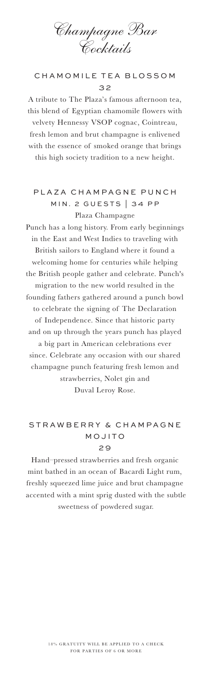Champagne Bar Cocktails

## CHAMOMILE TEA BLOSSOM 3 2

A tribute to The Plaza's famous afternoon tea, this blend of Egyptian chamomile flowers with velvety Hennessy VSOP cognac, Cointreau, fresh lemon and brut champagne is enlivened with the essence of smoked orange that brings this high society tradition to a new height.

# PLAZA CHAMPAGNE PUNCH MIN. 2 GUESTS | 34 PP Plaza Champagne

Punch has a long history. From early beginnings in the East and West Indies to traveling with British sailors to England where it found a welcoming home for centuries while helping the British people gather and celebrate. Punch's migration to the new world resulted in the founding fathers gathered around a punch bowl to celebrate the signing of The Declaration of Independence. Since that historic party and on up through the years punch has played a big part in American celebrations ever since. Celebrate any occasion with our shared champagne punch featuring fresh lemon and strawberries, Nolet gin and Duval Leroy Rose.

## STRAWBERRY & CHAMPAGNE M OJITO 2 9

Hand–pressed strawberries and fresh organic mint bathed in an ocean of Bacardi Light rum, freshly squeezed lime juice and brut champagne accented with a mint sprig dusted with the subtle sweetness of powdered sugar.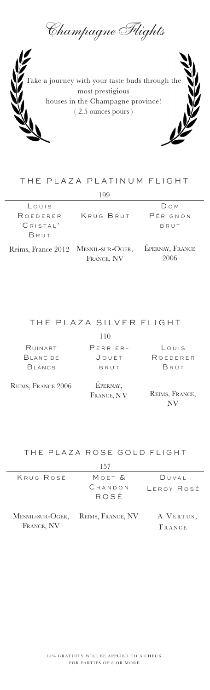Champagne Flights



# THE PLAZA PLATINUM FLIGHT

| 199                |                                |                                |
|--------------------|--------------------------------|--------------------------------|
| LOUIS              |                                | <b>Dом</b>                     |
| ROEDERFR           | KRUG BRUT                      | $P$ $F$ RIGNON                 |
| 'CRISTAL'          |                                | BRUT                           |
| BRUT               |                                |                                |
| Reims, France 2012 | MESNIL-SUR-OGER,<br>FRANCE, NV | <b>ÉPERNAY, FRANCE</b><br>2006 |

THE PLAZA SILVER FLIGHT

| RUINART       | $PERRIER-$ | LOUIS    |
|---------------|------------|----------|
| BLANC DE      | JOUËT      | ROEDERER |
| <b>BLANCS</b> | BRUT       | BRUT     |
|               | $\cdot$    |          |

Reims, France 2006

Épernay, FRANCE, NV

Reims, France, NV

#### THE PLAZA ROSE GOLD FLIGHT

| 157        |                                    |                     |  |
|------------|------------------------------------|---------------------|--|
| KRUG ROSÉ  | Moët &                             | DUVAI               |  |
|            | CHANDON<br>ROSÉ                    | LEROY ROSÉ          |  |
| FRANCE, NV | MESNIL-SUR-OGER, REIMS, FRANCE, NV | A VERTUS,<br>FRANCE |  |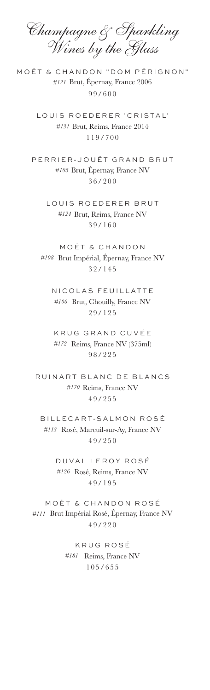Champagne & Sparkling Wines by the Glass

MOËT & CHANDON "DOM PÉRIGNON" *#121* Brut, Épernay, France 2006 99/600

> LOUIS ROEDERER 'CRISTAL' *#131* Brut, Reims, France 2014 119/700

PERRIER-JOUËT GRAND BRUT *#105* Brut, Épernay, France NV 36/200

> LOUIS ROEDERER BRUT *#124* Brut, Reims, France NV 39/160

MOËT & CHANDON *#108* Brut Impérial, Épernay, France NV 32/145

NICOLAS FEUILLATTE *#100* Brut, Chouilly, France NV 29/125

KRUG GRAND CUVÉE *#172* Reims, France NV (375ml) 98/225

RUINART BLANC DE BLANCS *#170* Reims, France NV 49/255

BILLECART-SALMON ROSÉ *#113* Rosé, Mareuil-sur-Ay, France NV 49/250

> DUVAL LEROY ROSÉ *#126* Rosé, Reims, France NV 49/195

MOËT & CHANDON ROSÉ *#111* Brut Impérial Rosé, Épernay, France NV 49/220

> KRUG ROSÉ *#181* Reims, France NV  $105/655$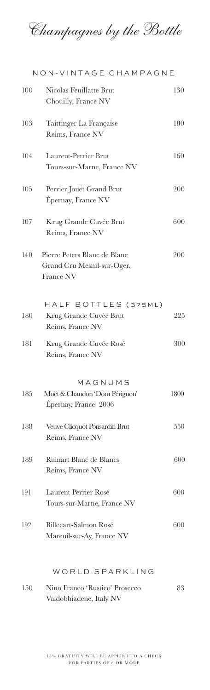Champagnes by the Bottle

|     | NON-VINTAGE CHAMPAGNE                                                          |      |
|-----|--------------------------------------------------------------------------------|------|
| 100 | Nicolas Feuillatte Brut<br>Chouilly, France NV                                 | 130  |
| 103 | Taittinger La Française<br>Reims, France NV                                    | 180  |
| 104 | Laurent-Perrier Brut<br>Tours-sur-Marne, France NV                             | 160  |
| 105 | Perrier Jouët Grand Brut<br>Épernay, France NV                                 | 200  |
| 107 | Krug Grande Cuvée Brut<br>Reims, France NV                                     | 600  |
| 140 | Pierre Peters Blanc de Blanc<br>Grand Cru Mesnil-sur-Oger,<br><b>France NV</b> | 200  |
| 180 | HALF BOTTLES (375ML)<br>Krug Grande Cuvée Brut<br>Reims, France NV             | 225  |
| 181 | Krug Grande Cuvée Rosé<br>Reims, France NV                                     | 300  |
| 185 | MAGNUMS<br>Moët & Chandon 'Dom Pérignon'<br>Épernay, France 2006               | 1800 |
| 188 | Veuve Clicquot Ponsardin Brut<br>Reims, France NV                              | 550  |
| 189 | Ruinart Blanc de Blancs<br>Reims, France NV                                    | 600  |
| 191 | Laurent Perrier Rosé<br>Tours-sur-Marne, France NV                             | 600  |
| 192 | Billecart-Salmon Rosé<br>Mareuil-sur-Ay, France NV                             | 600  |
|     | WORLD SPARKLING                                                                |      |

150 Nino Franco 'Rustico' Prosecco 83 Valdobbiadene, Italy NV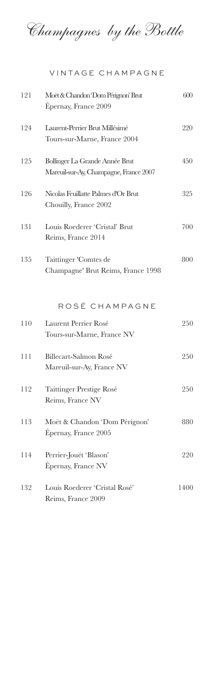Champagnes by the Bottle

VINTAGE CHAMPAGNE

| 121 | Moët & Chandon Dom Pérignon' Brut<br>Épernay, France 2009                | 600  |
|-----|--------------------------------------------------------------------------|------|
| 124 | Laurent-Perrier Brut Millésimé<br>Tours-sur-Marne, France 2004           | 220  |
| 125 | Bollinger La Grande Année Brut<br>Mareuil-sur-Ay, Champagne, France 2007 | 450  |
| 126 | Nicolas Feuillatte Palmes d'Or Brut<br>Chouilly, France 2002             | 325  |
| 131 | Louis Roederer 'Cristal' Brut<br>Reims, France 2014                      | 700  |
| 135 | Taittinger 'Comtes de<br>Champagne' Brut Reims, France 1998              | 800  |
|     | ROSÉ CHAMPAGNE                                                           |      |
| 110 | Laurent Perrier Rosé<br>Tours-sur-Marne, France NV                       | 250  |
| 111 | Billecart-Salmon Rosé<br>Mareuil-sur-Ay, France NV                       | 250  |
| 112 | Taittinger Prestige Rosé<br>Reims, France NV                             | 250  |
| 113 | Moët & Chandon 'Dom Pérignon'<br>Épernay, France 2005                    | 880  |
| 114 | Perrier-Jouët 'Blason'<br>Épernay, France NV                             | 220  |
| 132 | Louis Roederer 'Cristal Rosé'<br>Reims, France 2009                      | 1400 |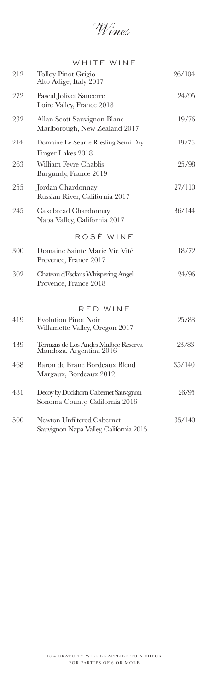Wines

|     | WHITE WINE                                                             |        |
|-----|------------------------------------------------------------------------|--------|
| 212 | <b>Tolloy Pinot Grigio</b><br>Alto Adige, Italy 2017                   | 26/104 |
| 272 | Pascal Jolivet Sancerre<br>Loire Valley, France 2018                   | 24/95  |
| 232 | Allan Scott Sauvignon Blanc<br>Marlborough, New Zealand 2017           | 19/76  |
| 214 | Domaine Le Seurre Riesling Semi Dry<br>Finger Lakes 2018               | 19/76  |
| 263 | William Fevre Chablis<br>Burgundy, France 2019                         | 25/98  |
| 255 | Jordan Chardonnay<br>Russian River, California 2017                    | 27/110 |
| 245 | Cakebread Chardonnay<br>Napa Valley, California 2017                   | 36/144 |
|     | ROSÉ WINE                                                              |        |
| 300 | Domaine Sainte Marie Vie Vité<br>Provence, France 2017                 | 18/72  |
| 302 | Chateau d'Esclans Whispering Angel<br>Provence, France 2018            | 24/96  |
|     | RED WINE                                                               |        |
| 419 | <b>Evolution Pinot Noir</b><br>Willamette Valley, Oregon 2017          | 25/88  |
| 439 | Terrazas de Los Andes Malbec Reserva<br>Mandoza, Argentina 2016        | 23/83  |
| 468 | Baron de Brane Bordeaux Blend<br>Margaux, Bordeaux 2012                | 35/140 |
| 481 | Decoy by Duckhorn Cabernet Sauvignon<br>Sonoma County, California 2016 | 26/95  |
| 500 | Newton Unfiltered Cabernet<br>Sauvignon Napa Valley, California 2015   | 35/140 |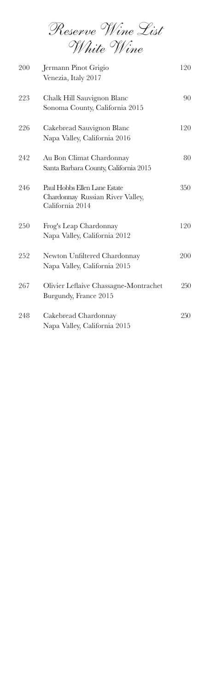Reserve Wine List White Wine

| 200 | Jermann Pinot Grigio<br>Venezia, Italy 2017                                         | 120 |
|-----|-------------------------------------------------------------------------------------|-----|
| 223 | Chalk Hill Sauvignon Blanc<br>Sonoma County, California 2015                        | 90  |
| 226 | Cakebread Sauvignon Blanc<br>Napa Valley, California 2016                           | 120 |
| 242 | Au Bon Climat Chardonnay<br>Santa Barbara County, California 2015                   | 80  |
| 246 | Paul Hobbs Ellen Lane Estate<br>Chardonnay Russian River Valley,<br>California 2014 | 350 |
| 250 | Frog's Leap Chardonnay<br>Napa Valley, California 2012                              | 120 |
| 252 | Newton Unfiltered Chardonnay<br>Napa Valley, California 2015                        | 200 |
| 267 | Olivier Leflaive Chassagne-Montrachet<br>Burgundy, France 2015                      | 250 |
| 248 | Cakebread Chardonnay<br>Napa Valley, California 2015                                | 250 |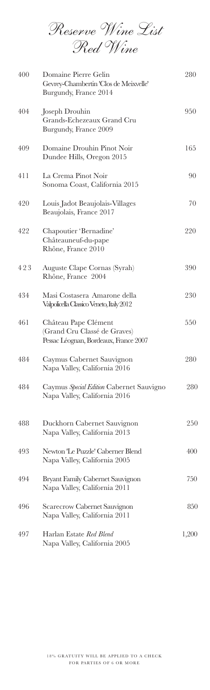Reserve Wine List Red Wine

| 400 | Domaine Pierre Gelin<br>Gevrey-Chambertin 'Clos de Meixvelle'<br>Burgundy, France 2014        | 280   |
|-----|-----------------------------------------------------------------------------------------------|-------|
| 404 | Joseph Drouhin<br>Grands-Echezeaux Grand Cru<br>Burgundy, France 2009                         | 950   |
| 409 | Domaine Drouhin Pinot Noir<br>Dundee Hills, Oregon 2015                                       | 165   |
| 411 | La Crema Pinot Noir<br>Sonoma Coast, California 2015                                          | 90    |
| 420 | Louis Jadot Beaujolais-Villages<br>Beaujolais, France 2017                                    | 70    |
| 422 | Chapoutier 'Bernadine'<br>Châteauneuf-du-pape<br>Rhône, France 2010                           | 220   |
| 423 | Auguste Clape Cornas (Syrah)<br>Rhône, France 2004                                            | 390   |
| 434 | Masi Costasera Amarone della<br>Valpolicella Classico Veneto, Italy 2012                      | 230   |
| 461 | Château Pape Clément<br>(Grand Cru Classé de Graves)<br>Pessac Léognan, Bordeaux, France 2007 | 550   |
| 484 | Caymus Cabernet Sauvignon<br>Napa Valley, California 2016                                     | 280   |
| 484 | Caymus Special Edition Cabernet Sauvigno<br>Napa Valley, California 2016                      | 280   |
| 488 | Duckhorn Cabernet Sauvignon<br>Napa Valley, California 2013                                   | 250   |
| 493 | Newton 'Le Puzzle' Caberner Blend<br>Napa Valley, California 2005                             | 400   |
| 494 | Bryant Family Cabernet Sauvignon<br>Napa Valley, California 2011                              | 750   |
| 496 | Scarecrow Cabernet Sauvignon<br>Napa Valley, California 2011                                  | 850   |
| 497 | Harlan Estate Red Blend<br>Napa Valley, California 2005                                       | 1,200 |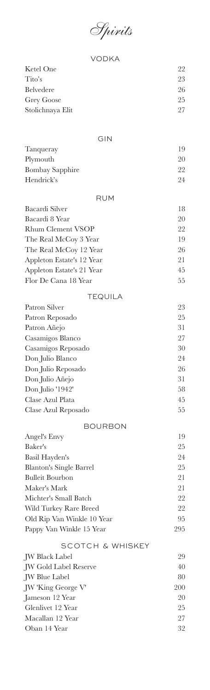Spirits

| <b>VODKA</b>                         |          |
|--------------------------------------|----------|
| Ketel One                            | 22       |
| Tito's                               | 23       |
| Belvedere                            | 26       |
| <b>Grey Goose</b>                    | 25       |
| Stolichnaya Elit                     | 27       |
|                                      |          |
| GIN                                  |          |
| Tanqueray                            | 19       |
| Plymouth                             | 20       |
| <b>Bombay Sapphire</b><br>Hendrick's | 22<br>24 |
| <b>RUM</b>                           |          |
| Bacardi Silver                       | 18       |
| Bacardi 8 Year                       | 20       |
| <b>Rhum Clement VSOP</b>             | 22       |
| The Real McCoy 3 Year                | 19       |
| The Real McCoy 12 Year               | 26       |
| Appleton Estate's 12 Year            | 21       |
| Appleton Estate's 21 Year            | 45       |
| Flor De Cana 18 Year                 | 55       |
| <b>TEQUILA</b>                       |          |
| Patron Silver                        | 23       |
| Patron Reposado                      | 25       |
| Patron Añejo                         | 31       |
| Casamigos Blanco                     | 27       |
| Casamigos Reposado                   | $30\,$   |
| Don Julio Blanco                     | 24       |
| Don Julio Reposado                   | 26       |
| Don Julio Añejo                      | 31       |
| Don Julio '1942'                     | 58       |
| Clase Azul Plata                     | 45       |
| Clase Azul Reposado                  | 55       |
| <b>BOURBON</b>                       |          |
| <b>Angel's Envy</b>                  | 19       |
| Baker's                              | 25       |
| Basil Hayden's                       | 24       |
| <b>Blanton's Single Barrel</b>       | $25\,$   |
| <b>Bulleit Bourbon</b>               | 21       |
| Maker's Mark                         | 21       |
| Michter's Small Batch                | 22       |
| Wild Turkey Rare Breed               | 22       |
| Old Rip Van Winkle 10 Year           | 95       |
| Pappy Van Winkle 15 Year             | 295      |
| <b>SCOTCH &amp; WHISKEY</b>          |          |
| <b>JW Black Label</b>                | 29       |
| <b>JW Gold Label Reserve</b>         | 40       |
| <b>JW</b> Blue Label                 | 80       |
| JW 'King George V'                   | 200      |
| Jameson 12 Year                      | 20       |
| Glenlivet 12 Year                    | 25       |
| Macallan 12 Year                     | 27       |
| Oban 14 Year                         | 32       |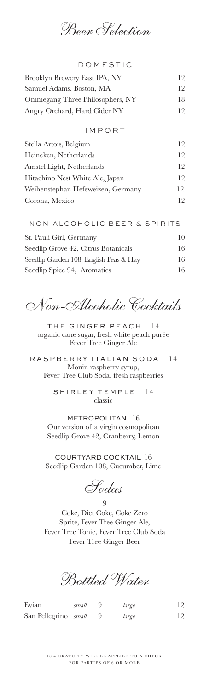Beer Selection

| <b>DOMESTIC</b>                 |    |
|---------------------------------|----|
| Brooklyn Brewery East IPA, NY   | 12 |
| Samuel Adams, Boston, MA        | 12 |
| Ommegang Three Philosophers, NY | 18 |
| Angry Orchard, Hard Cider NY    | 12 |
| IMPORT                          |    |

| Stella Artois, Belgium            | 12  |
|-----------------------------------|-----|
| Heineken, Netherlands             | 12  |
| Amstel Light, Netherlands         | 12  |
| Hitachino Nest White Ale, Japan   | 12  |
| Weihenstephan Hefeweizen, Germany | 12. |
| Corona, Mexico                    | 19  |

| NON-ALCOHOLIC BEER & SPIRITS           |    |
|----------------------------------------|----|
| St. Pauli Girl, Germany                | 10 |
| Seedlip Grove 42, Citrus Botanicals    | 16 |
| Seedlip Garden 108, English Peas & Hay | 16 |
| Seedlip Spice 94, Aromatics            | 16 |

Non-Alcoholic Cocktails

THE GINGER PEACH 14 organic cane sugar, fresh white peach purée Fever Tree Ginger Ale

RASPBERRY ITALIAN SODA 14 Monin raspberry syrup, Fever Tree Club Soda, fresh raspberries

> SHIRLEY TEMPLE 14 classic

METROPOLITAN 16 Our version of a virgin cosmopolitan Seedlip Grove 42, Cranberry, Lemon

COURTYARD COCKTAIL 16 Seedlip Garden 108, Cucumber, Lime

Sodas

9

Coke, Diet Coke, Coke Zero Sprite, Fever Tree Ginger Ale, Fever Tree Tonic, Fever Tree Club Soda Fever Tree Ginger Beer

Bottled Water

Evian *small* 9 *large* 12 San Pellegrino small 9 large 12